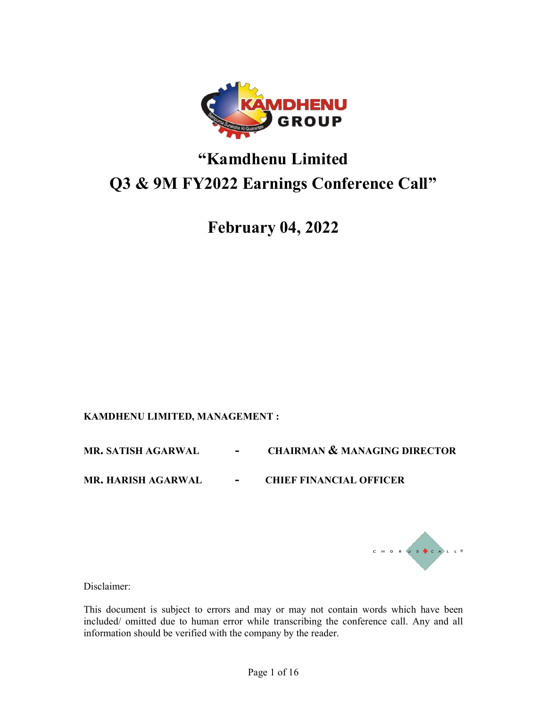

## "Kamdhenu Limited Q3 & 9M FY2022 Earnings Conference Call"

February 04, 2022

## KAMDHENU LIMITED, MANAGEMENT :

MR. SATISH AGARWAL - CHAIRMAN & MANAGING DIRECTOR

MR. HARISH AGARWAL - CHIEF FINANCIAL OFFICER



Disclaimer:

This document is subject to errors and may or may not contain words which have been included/ omitted due to human error while transcribing the conference call. Any and all information should be verified with the company by the reader.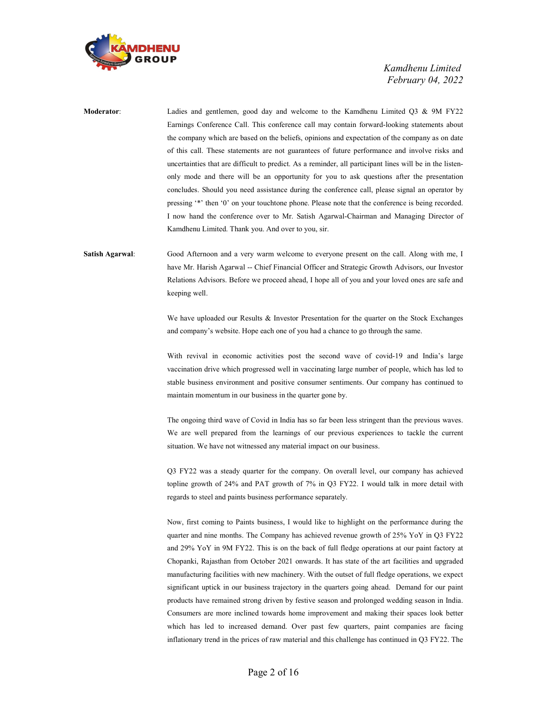

Moderator: Ladies and gentlemen, good day and welcome to the Kamdhenu Limited Q3 & 9M FY22 Earnings Conference Call. This conference call may contain forward-looking statements about the company which are based on the beliefs, opinions and expectation of the company as on date of this call. These statements are not guarantees of future performance and involve risks and uncertainties that are difficult to predict. As a reminder, all participant lines will be in the listenonly mode and there will be an opportunity for you to ask questions after the presentation concludes. Should you need assistance during the conference call, please signal an operator by pressing '\*' then '0' on your touchtone phone. Please note that the conference is being recorded. I now hand the conference over to Mr. Satish Agarwal-Chairman and Managing Director of Kamdhenu Limited. Thank you. And over to you, sir.

Satish Agarwal: Good Afternoon and a very warm welcome to everyone present on the call. Along with me, I have Mr. Harish Agarwal -- Chief Financial Officer and Strategic Growth Advisors, our Investor Relations Advisors. Before we proceed ahead, I hope all of you and your loved ones are safe and keeping well.

> We have uploaded our Results & Investor Presentation for the quarter on the Stock Exchanges and company's website. Hope each one of you had a chance to go through the same.

> With revival in economic activities post the second wave of covid-19 and India's large vaccination drive which progressed well in vaccinating large number of people, which has led to stable business environment and positive consumer sentiments. Our company has continued to maintain momentum in our business in the quarter gone by.

> The ongoing third wave of Covid in India has so far been less stringent than the previous waves. We are well prepared from the learnings of our previous experiences to tackle the current situation. We have not witnessed any material impact on our business.

> Q3 FY22 was a steady quarter for the company. On overall level, our company has achieved topline growth of 24% and PAT growth of 7% in Q3 FY22. I would talk in more detail with regards to steel and paints business performance separately.

> Now, first coming to Paints business, I would like to highlight on the performance during the quarter and nine months. The Company has achieved revenue growth of 25% YoY in Q3 FY22 and 29% YoY in 9M FY22. This is on the back of full fledge operations at our paint factory at Chopanki, Rajasthan from October 2021 onwards. It has state of the art facilities and upgraded manufacturing facilities with new machinery. With the outset of full fledge operations, we expect significant uptick in our business trajectory in the quarters going ahead. Demand for our paint products have remained strong driven by festive season and prolonged wedding season in India. Consumers are more inclined towards home improvement and making their spaces look better which has led to increased demand. Over past few quarters, paint companies are facing inflationary trend in the prices of raw material and this challenge has continued in Q3 FY22. The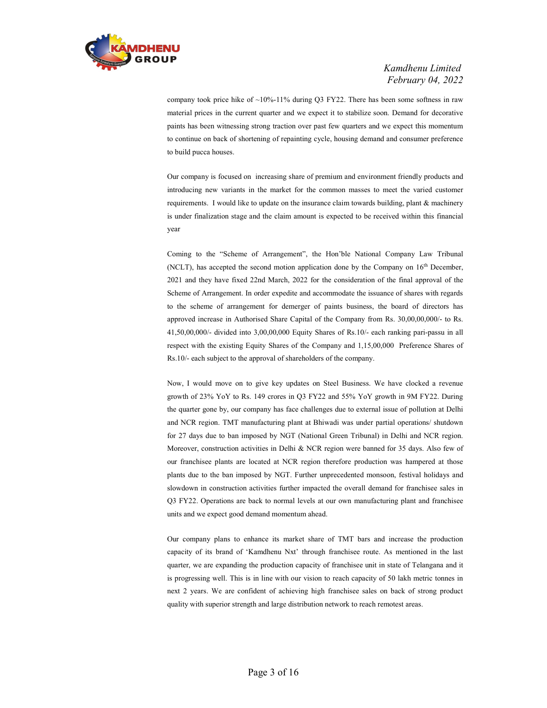

company took price hike of  $\sim$ 10%-11% during Q3 FY22. There has been some softness in raw material prices in the current quarter and we expect it to stabilize soon. Demand for decorative paints has been witnessing strong traction over past few quarters and we expect this momentum to continue on back of shortening of repainting cycle, housing demand and consumer preference to build pucca houses.

Our company is focused on increasing share of premium and environment friendly products and introducing new variants in the market for the common masses to meet the varied customer requirements. I would like to update on the insurance claim towards building, plant & machinery is under finalization stage and the claim amount is expected to be received within this financial year

Coming to the "Scheme of Arrangement", the Hon'ble National Company Law Tribunal (NCLT), has accepted the second motion application done by the Company on 16th December, 2021 and they have fixed 22nd March, 2022 for the consideration of the final approval of the Scheme of Arrangement. In order expedite and accommodate the issuance of shares with regards to the scheme of arrangement for demerger of paints business, the board of directors has approved increase in Authorised Share Capital of the Company from Rs. 30,00,00,000/- to Rs. 41,50,00,000/- divided into 3,00,00,000 Equity Shares of Rs.10/- each ranking pari-passu in all respect with the existing Equity Shares of the Company and 1,15,00,000 Preference Shares of Rs.10/- each subject to the approval of shareholders of the company.

Now, I would move on to give key updates on Steel Business. We have clocked a revenue growth of 23% YoY to Rs. 149 crores in Q3 FY22 and 55% YoY growth in 9M FY22. During the quarter gone by, our company has face challenges due to external issue of pollution at Delhi and NCR region. TMT manufacturing plant at Bhiwadi was under partial operations/ shutdown for 27 days due to ban imposed by NGT (National Green Tribunal) in Delhi and NCR region. Moreover, construction activities in Delhi & NCR region were banned for 35 days. Also few of our franchisee plants are located at NCR region therefore production was hampered at those plants due to the ban imposed by NGT. Further unprecedented monsoon, festival holidays and slowdown in construction activities further impacted the overall demand for franchisee sales in Q3 FY22. Operations are back to normal levels at our own manufacturing plant and franchisee units and we expect good demand momentum ahead.

Our company plans to enhance its market share of TMT bars and increase the production capacity of its brand of 'Kamdhenu Nxt' through franchisee route. As mentioned in the last quarter, we are expanding the production capacity of franchisee unit in state of Telangana and it is progressing well. This is in line with our vision to reach capacity of 50 lakh metric tonnes in next 2 years. We are confident of achieving high franchisee sales on back of strong product quality with superior strength and large distribution network to reach remotest areas.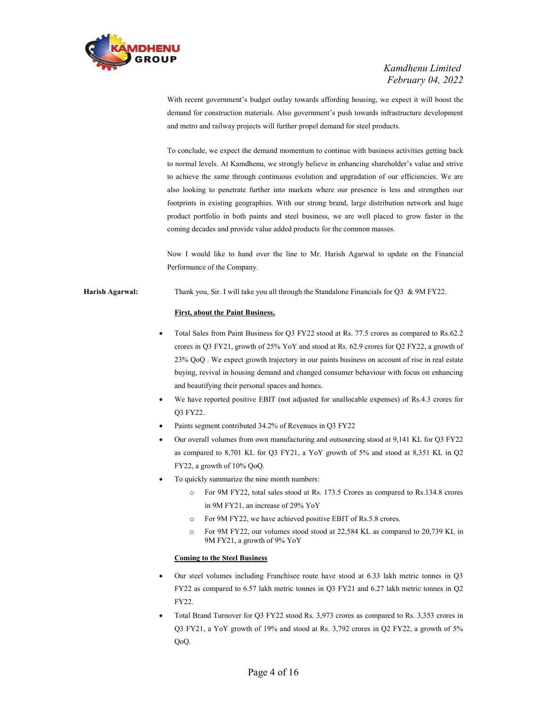

With recent government's budget outlay towards affording housing, we expect it will boost the demand for construction materials. Also government's push towards infrastructure development and metro and railway projects will further propel demand for steel products.

To conclude, we expect the demand momentum to continue with business activities getting back to normal levels. At Kamdhenu, we strongly believe in enhancing shareholder's value and strive to achieve the same through continuous evolution and upgradation of our efficiencies. We are also looking to penetrate further into markets where our presence is less and strengthen our footprints in existing geographies. With our strong brand, large distribution network and huge product portfolio in both paints and steel business, we are well placed to grow faster in the coming decades and provide value added products for the common masses.

Now I would like to hand over the line to Mr. Harish Agarwal to update on the Financial Performance of the Company.

Harish Agarwal: Thank you, Sir. I will take you all through the Standalone Financials for Q3 & 9M FY22.

#### First, about the Paint Business,

- Total Sales from Paint Business for Q3 FY22 stood at Rs. 77.5 crores as compared to Rs.62.2 crores in Q3 FY21, growth of 25% YoY and stood at Rs. 62.9 crores for Q2 FY22, a growth of 23% QoQ . We expect growth trajectory in our paints business on account of rise in real estate buying, revival in housing demand and changed consumer behaviour with focus on enhancing and beautifying their personal spaces and homes.
- We have reported positive EBIT (not adjusted for unallocable expenses) of Rs.4.3 crores for Q3 FY22.
- Paints segment contributed 34.2% of Revenues in Q3 FY22
- Our overall volumes from own manufacturing and outsourcing stood at 9,141 KL for Q3 FY22 as compared to 8,701 KL for Q3 FY21, a YoY growth of 5% and stood at 8,351 KL in Q2 FY22, a growth of 10% QoQ.
- To quickly summarize the nine month numbers:
	- o For 9M FY22, total sales stood at Rs. 173.5 Crores as compared to Rs.134.8 crores in 9M FY21, an increase of 29% YoY
	- o For 9M FY22, we have achieved positive EBIT of Rs.5.8 crores.
	- o For 9M FY22, our volumes stood stood at 22,584 KL as compared to 20,739 KL in 9M FY21, a growth of 9% YoY

#### Coming to the Steel Business

- Our steel volumes including Franchisee route have stood at 6.33 lakh metric tonnes in Q3 FY22 as compared to 6.57 lakh metric tonnes in Q3 FY21 and 6.27 lakh metric tonnes in Q2 FY22.
- Total Brand Turnover for Q3 FY22 stood Rs. 3,973 crores as compared to Rs. 3,353 crores in Q3 FY21, a YoY growth of 19% and stood at Rs. 3,792 crores in Q2 FY22, a growth of 5% QoQ.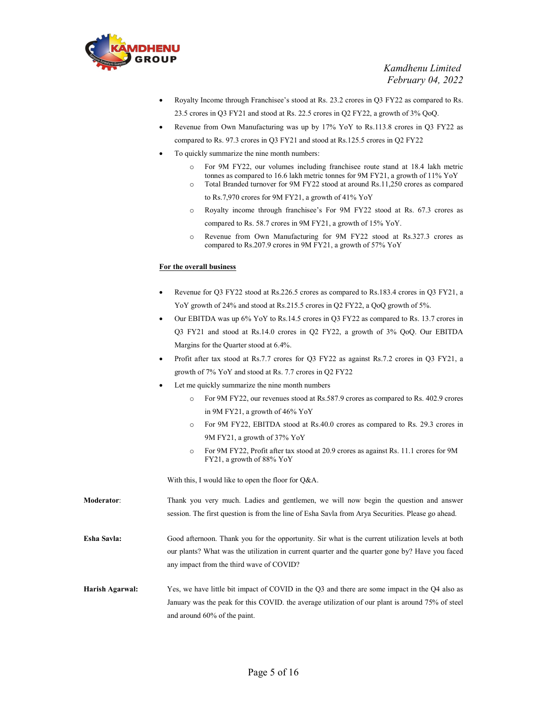

- Royalty Income through Franchisee's stood at Rs. 23.2 crores in Q3 FY22 as compared to Rs. 23.5 crores in Q3 FY21 and stood at Rs. 22.5 crores in Q2 FY22, a growth of 3% QoQ.
- Revenue from Own Manufacturing was up by 17% YoY to Rs.113.8 crores in Q3 FY22 as compared to Rs. 97.3 crores in Q3 FY21 and stood at Rs.125.5 crores in Q2 FY22
- To quickly summarize the nine month numbers:
	- o For 9M FY22, our volumes including franchisee route stand at 18.4 lakh metric tonnes as compared to 16.6 lakh metric tonnes for 9M FY21, a growth of 11% YoY
	- o Total Branded turnover for 9M FY22 stood at around Rs.11,250 crores as compared to Rs.7,970 crores for 9M FY21, a growth of 41% YoY
	- o Royalty income through franchisee's For 9M FY22 stood at Rs. 67.3 crores as compared to Rs. 58.7 crores in 9M FY21, a growth of 15% YoY.
	- o Revenue from Own Manufacturing for 9M FY22 stood at Rs.327.3 crores as compared to Rs.207.9 crores in 9M FY21, a growth of 57% YoY

#### For the overall business

- Revenue for Q3 FY22 stood at Rs.226.5 crores as compared to Rs.183.4 crores in Q3 FY21, a YoY growth of 24% and stood at Rs.215.5 crores in Q2 FY22, a QoQ growth of 5%.
- Our EBITDA was up 6% YoY to Rs.14.5 crores in Q3 FY22 as compared to Rs. 13.7 crores in Q3 FY21 and stood at Rs.14.0 crores in Q2 FY22, a growth of 3% QoQ. Our EBITDA Margins for the Quarter stood at 6.4%.
- Profit after tax stood at Rs.7.7 crores for Q3 FY22 as against Rs.7.2 crores in Q3 FY21, a growth of 7% YoY and stood at Rs. 7.7 crores in Q2 FY22
- Let me quickly summarize the nine month numbers
	- o For 9M FY22, our revenues stood at Rs.587.9 crores as compared to Rs. 402.9 crores in 9M FY21, a growth of 46% YoY
	- For 9M FY22, EBITDA stood at Rs.40.0 crores as compared to Rs. 29.3 crores in 9M FY21, a growth of 37% YoY
	- o For 9M FY22, Profit after tax stood at 20.9 crores as against Rs. 11.1 crores for 9M FY21, a growth of 88% YoY

With this, I would like to open the floor for Q&A.

- Moderator: Thank you very much. Ladies and gentlemen, we will now begin the question and answer session. The first question is from the line of Esha Savla from Arya Securities. Please go ahead.
- Esha Savla: Good afternoon. Thank you for the opportunity. Sir what is the current utilization levels at both our plants? What was the utilization in current quarter and the quarter gone by? Have you faced any impact from the third wave of COVID?
- Harish Agarwal: Yes, we have little bit impact of COVID in the Q3 and there are some impact in the Q4 also as January was the peak for this COVID. the average utilization of our plant is around 75% of steel and around 60% of the paint.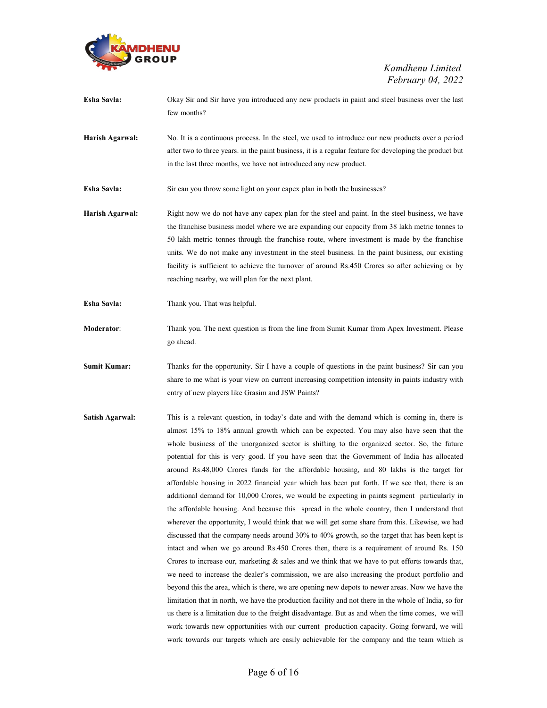

| Esha Savla:     | Okay Sir and Sir have you introduced any new products in paint and steel business over the last<br>few months?                                                                                                                                                                                                                                                                                                                                                                                                                                               |
|-----------------|--------------------------------------------------------------------------------------------------------------------------------------------------------------------------------------------------------------------------------------------------------------------------------------------------------------------------------------------------------------------------------------------------------------------------------------------------------------------------------------------------------------------------------------------------------------|
| Harish Agarwal: | No. It is a continuous process. In the steel, we used to introduce our new products over a period<br>after two to three years, in the paint business, it is a regular feature for developing the product but<br>in the last three months, we have not introduced any new product.                                                                                                                                                                                                                                                                            |
| Esha Savla:     | Sir can you throw some light on your capex plan in both the businesses?                                                                                                                                                                                                                                                                                                                                                                                                                                                                                      |
| Harish Agarwal: | Right now we do not have any capex plan for the steel and paint. In the steel business, we have<br>the franchise business model where we are expanding our capacity from 38 lakh metric tonnes to<br>50 lakh metric tonnes through the franchise route, where investment is made by the franchise<br>units. We do not make any investment in the steel business. In the paint business, our existing<br>facility is sufficient to achieve the turnover of around Rs.450 Crores so after achieving or by<br>reaching nearby, we will plan for the next plant. |

Esha Savla: Thank you. That was helpful.

Moderator: Thank you. The next question is from the line from Sumit Kumar from Apex Investment. Please go ahead.

Sumit Kumar: Thanks for the opportunity. Sir I have a couple of questions in the paint business? Sir can you share to me what is your view on current increasing competition intensity in paints industry with entry of new players like Grasim and JSW Paints?

Satish Agarwal: This is a relevant question, in today's date and with the demand which is coming in, there is almost 15% to 18% annual growth which can be expected. You may also have seen that the whole business of the unorganized sector is shifting to the organized sector. So, the future potential for this is very good. If you have seen that the Government of India has allocated around Rs.48,000 Crores funds for the affordable housing, and 80 lakhs is the target for affordable housing in 2022 financial year which has been put forth. If we see that, there is an additional demand for 10,000 Crores, we would be expecting in paints segment particularly in the affordable housing. And because this spread in the whole country, then I understand that wherever the opportunity, I would think that we will get some share from this. Likewise, we had discussed that the company needs around 30% to 40% growth, so the target that has been kept is intact and when we go around Rs.450 Crores then, there is a requirement of around Rs. 150 Crores to increase our, marketing & sales and we think that we have to put efforts towards that, we need to increase the dealer's commission, we are also increasing the product portfolio and beyond this the area, which is there, we are opening new depots to newer areas. Now we have the limitation that in north, we have the production facility and not there in the whole of India, so for us there is a limitation due to the freight disadvantage. But as and when the time comes, we will work towards new opportunities with our current production capacity. Going forward, we will work towards our targets which are easily achievable for the company and the team which is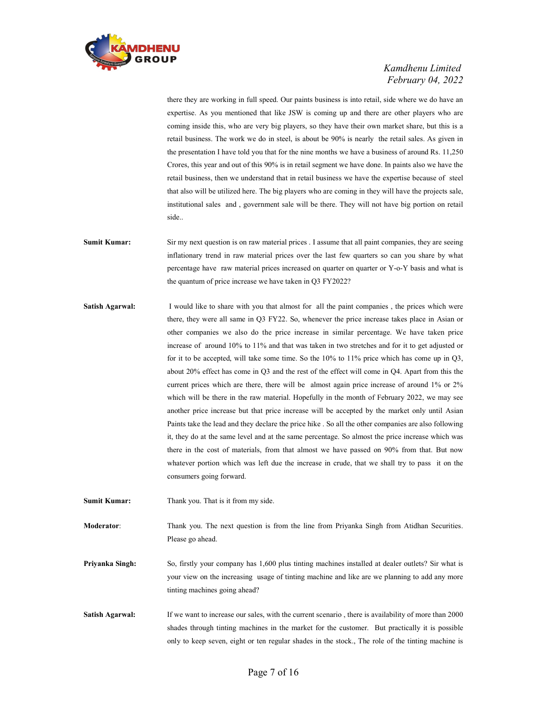

there they are working in full speed. Our paints business is into retail, side where we do have an expertise. As you mentioned that like JSW is coming up and there are other players who are coming inside this, who are very big players, so they have their own market share, but this is a retail business. The work we do in steel, is about be 90% is nearly the retail sales. As given in the presentation I have told you that for the nine months we have a business of around Rs. 11,250 Crores, this year and out of this 90% is in retail segment we have done. In paints also we have the retail business, then we understand that in retail business we have the expertise because of steel that also will be utilized here. The big players who are coming in they will have the projects sale, institutional sales and , government sale will be there. They will not have big portion on retail side..

- Sumit Kumar: Sir my next question is on raw material prices . I assume that all paint companies, they are seeing inflationary trend in raw material prices over the last few quarters so can you share by what percentage have raw material prices increased on quarter on quarter or Y-o-Y basis and what is the quantum of price increase we have taken in Q3 FY2022?
- Satish Agarwal: I would like to share with you that almost for all the paint companies, the prices which were there, they were all same in Q3 FY22. So, whenever the price increase takes place in Asian or other companies we also do the price increase in similar percentage. We have taken price increase of around 10% to 11% and that was taken in two stretches and for it to get adjusted or for it to be accepted, will take some time. So the 10% to 11% price which has come up in Q3, about 20% effect has come in Q3 and the rest of the effect will come in Q4. Apart from this the current prices which are there, there will be almost again price increase of around 1% or 2% which will be there in the raw material. Hopefully in the month of February 2022, we may see another price increase but that price increase will be accepted by the market only until Asian Paints take the lead and they declare the price hike . So all the other companies are also following it, they do at the same level and at the same percentage. So almost the price increase which was there in the cost of materials, from that almost we have passed on 90% from that. But now whatever portion which was left due the increase in crude, that we shall try to pass it on the consumers going forward.
- Sumit Kumar: Thank you. That is it from my side.
- Moderator: Thank you. The next question is from the line from Priyanka Singh from Atidhan Securities. Please go ahead.
- **Priyanka Singh:** So, firstly your company has 1,600 plus tinting machines installed at dealer outlets? Sir what is your view on the increasing usage of tinting machine and like are we planning to add any more tinting machines going ahead?
- Satish Agarwal: If we want to increase our sales, with the current scenario, there is availability of more than 2000 shades through tinting machines in the market for the customer. But practically it is possible only to keep seven, eight or ten regular shades in the stock., The role of the tinting machine is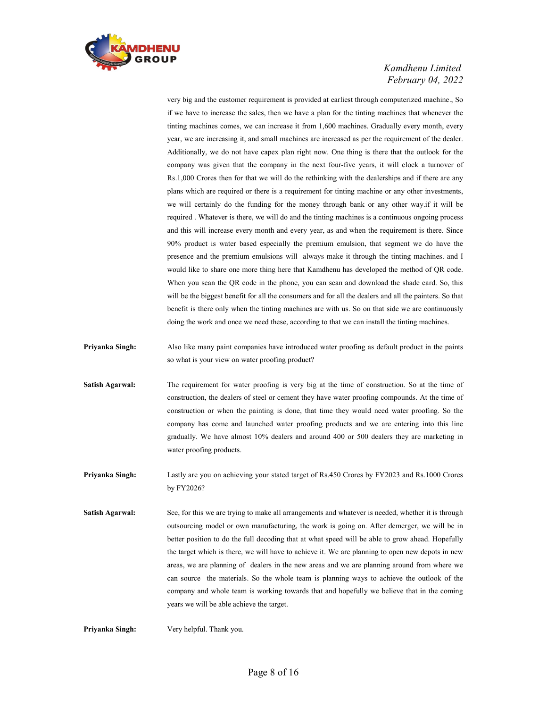

very big and the customer requirement is provided at earliest through computerized machine., So if we have to increase the sales, then we have a plan for the tinting machines that whenever the tinting machines comes, we can increase it from 1,600 machines. Gradually every month, every year, we are increasing it, and small machines are increased as per the requirement of the dealer. Additionally, we do not have capex plan right now. One thing is there that the outlook for the company was given that the company in the next four-five years, it will clock a turnover of Rs.1,000 Crores then for that we will do the rethinking with the dealerships and if there are any plans which are required or there is a requirement for tinting machine or any other investments, we will certainly do the funding for the money through bank or any other way.if it will be required . Whatever is there, we will do and the tinting machines is a continuous ongoing process and this will increase every month and every year, as and when the requirement is there. Since 90% product is water based especially the premium emulsion, that segment we do have the presence and the premium emulsions will always make it through the tinting machines. and I would like to share one more thing here that Kamdhenu has developed the method of QR code. When you scan the QR code in the phone, you can scan and download the shade card. So, this will be the biggest benefit for all the consumers and for all the dealers and all the painters. So that benefit is there only when the tinting machines are with us. So on that side we are continuously doing the work and once we need these, according to that we can install the tinting machines.

**Priyanka Singh:** Also like many paint companies have introduced water proofing as default product in the paints so what is your view on water proofing product?

- Satish Agarwal: The requirement for water proofing is very big at the time of construction. So at the time of construction, the dealers of steel or cement they have water proofing compounds. At the time of construction or when the painting is done, that time they would need water proofing. So the company has come and launched water proofing products and we are entering into this line gradually. We have almost 10% dealers and around 400 or 500 dealers they are marketing in water proofing products.
- Priyanka Singh: Lastly are you on achieving your stated target of Rs.450 Crores by FY2023 and Rs.1000 Crores by FY2026?
- Satish Agarwal: See, for this we are trying to make all arrangements and whatever is needed, whether it is through outsourcing model or own manufacturing, the work is going on. After demerger, we will be in better position to do the full decoding that at what speed will be able to grow ahead. Hopefully the target which is there, we will have to achieve it. We are planning to open new depots in new areas, we are planning of dealers in the new areas and we are planning around from where we can source the materials. So the whole team is planning ways to achieve the outlook of the company and whole team is working towards that and hopefully we believe that in the coming years we will be able achieve the target.

Priyanka Singh: Very helpful. Thank you.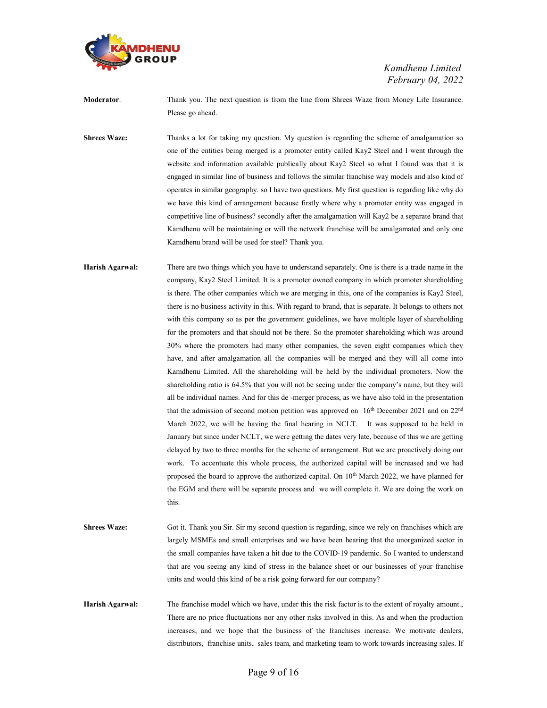

Moderator: Thank you. The next question is from the line from Shrees Waze from Money Life Insurance. Please go ahead.

Shrees Waze: Thanks a lot for taking my question. My question is regarding the scheme of amalgamation so one of the entities being merged is a promoter entity called Kay2 Steel and I went through the website and information available publically about Kay2 Steel so what I found was that it is engaged in similar line of business and follows the similar franchise way models and also kind of operates in similar geography. so I have two questions. My first question is regarding like why do we have this kind of arrangement because firstly where why a promoter entity was engaged in competitive line of business? secondly after the amalgamation will Kay2 be a separate brand that Kamdhenu will be maintaining or will the network franchise will be amalgamated and only one Kamdhenu brand will be used for steel? Thank you.

Harish Agarwal: There are two things which you have to understand separately. One is there is a trade name in the company, Kay2 Steel Limited. It is a promoter owned company in which promoter shareholding is there. The other companies which we are merging in this, one of the companies is Kay2 Steel, there is no business activity in this. With regard to brand, that is separate. It belongs to others not with this company so as per the government guidelines, we have multiple layer of shareholding for the promoters and that should not be there. So the promoter shareholding which was around 30% where the promoters had many other companies, the seven eight companies which they have, and after amalgamation all the companies will be merged and they will all come into Kamdhenu Limited. All the shareholding will be held by the individual promoters. Now the shareholding ratio is 64.5% that you will not be seeing under the company's name, but they will all be individual names. And for this de -merger process, as we have also told in the presentation that the admission of second motion petition was approved on 16<sup>th</sup> December 2021 and on 22<sup>nd</sup> March 2022, we will be having the final hearing in NCLT. It was supposed to be held in January but since under NCLT, we were getting the dates very late, because of this we are getting delayed by two to three months for the scheme of arrangement. But we are proactively doing our work. To accentuate this whole process, the authorized capital will be increased and we had proposed the board to approve the authorized capital. On 10<sup>th</sup> March 2022, we have planned for the EGM and there will be separate process and we will complete it. We are doing the work on this.

Shrees Waze: Got it. Thank you Sir. Sir my second question is regarding, since we rely on franchises which are largely MSMEs and small enterprises and we have been hearing that the unorganized sector in the small companies have taken a hit due to the COVID-19 pandemic. So I wanted to understand that are you seeing any kind of stress in the balance sheet or our businesses of your franchise units and would this kind of be a risk going forward for our company?

Harish Agarwal: The franchise model which we have, under this the risk factor is to the extent of royalty amount., There are no price fluctuations nor any other risks involved in this. As and when the production increases, and we hope that the business of the franchises increase. We motivate dealers, distributors, franchise units, sales team, and marketing team to work towards increasing sales. If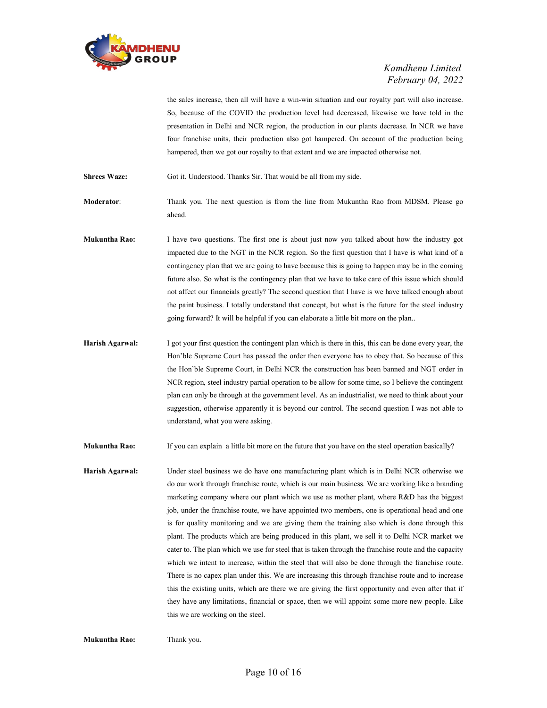

the sales increase, then all will have a win-win situation and our royalty part will also increase. So, because of the COVID the production level had decreased, likewise we have told in the presentation in Delhi and NCR region, the production in our plants decrease. In NCR we have four franchise units, their production also got hampered. On account of the production being hampered, then we got our royalty to that extent and we are impacted otherwise not.

Shrees Waze: Got it. Understood. Thanks Sir. That would be all from my side.

Moderator: Thank you. The next question is from the line from Mukuntha Rao from MDSM. Please go ahead.

Mukuntha Rao: I have two questions. The first one is about just now you talked about how the industry got impacted due to the NGT in the NCR region. So the first question that I have is what kind of a contingency plan that we are going to have because this is going to happen may be in the coming future also. So what is the contingency plan that we have to take care of this issue which should not affect our financials greatly? The second question that I have is we have talked enough about the paint business. I totally understand that concept, but what is the future for the steel industry going forward? It will be helpful if you can elaborate a little bit more on the plan..

Harish Agarwal: I got your first question the contingent plan which is there in this, this can be done every year, the Hon'ble Supreme Court has passed the order then everyone has to obey that. So because of this the Hon'ble Supreme Court, in Delhi NCR the construction has been banned and NGT order in NCR region, steel industry partial operation to be allow for some time, so I believe the contingent plan can only be through at the government level. As an industrialist, we need to think about your suggestion, otherwise apparently it is beyond our control. The second question I was not able to understand, what you were asking.

Mukuntha Rao: If you can explain a little bit more on the future that you have on the steel operation basically?

Harish Agarwal: Under steel business we do have one manufacturing plant which is in Delhi NCR otherwise we do our work through franchise route, which is our main business. We are working like a branding marketing company where our plant which we use as mother plant, where R&D has the biggest job, under the franchise route, we have appointed two members, one is operational head and one is for quality monitoring and we are giving them the training also which is done through this plant. The products which are being produced in this plant, we sell it to Delhi NCR market we cater to. The plan which we use for steel that is taken through the franchise route and the capacity which we intent to increase, within the steel that will also be done through the franchise route. There is no capex plan under this. We are increasing this through franchise route and to increase this the existing units, which are there we are giving the first opportunity and even after that if they have any limitations, financial or space, then we will appoint some more new people. Like this we are working on the steel.

Mukuntha Rao: Thank you.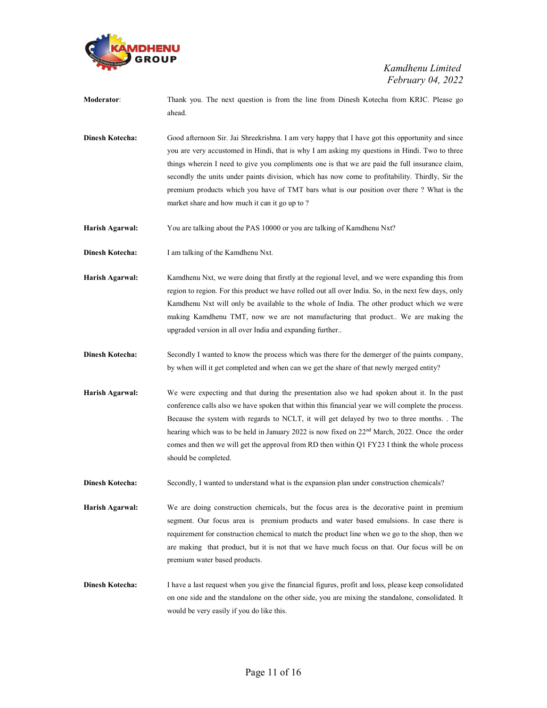

- Moderator: Thank you. The next question is from the line from Dinesh Kotecha from KRIC. Please go ahead.
- Dinesh Kotecha: Good afternoon Sir. Jai Shreekrishna. I am very happy that I have got this opportunity and since you are very accustomed in Hindi, that is why I am asking my questions in Hindi. Two to three things wherein I need to give you compliments one is that we are paid the full insurance claim, secondly the units under paints division, which has now come to profitability. Thirdly, Sir the premium products which you have of TMT bars what is our position over there ? What is the market share and how much it can it go up to ?
- Harish Agarwal: You are talking about the PAS 10000 or you are talking of Kamdhenu Nxt?
- **Dinesh Kotecha:** I am talking of the Kamdhenu Nxt.
- Harish Agarwal: Kamdhenu Nxt, we were doing that firstly at the regional level, and we were expanding this from region to region. For this product we have rolled out all over India. So, in the next few days, only Kamdhenu Nxt will only be available to the whole of India. The other product which we were making Kamdhenu TMT, now we are not manufacturing that product.. We are making the upgraded version in all over India and expanding further..
- Dinesh Kotecha: Secondly I wanted to know the process which was there for the demerger of the paints company, by when will it get completed and when can we get the share of that newly merged entity?
- Harish Agarwal: We were expecting and that during the presentation also we had spoken about it. In the past conference calls also we have spoken that within this financial year we will complete the process. Because the system with regards to NCLT, it will get delayed by two to three months. . The hearing which was to be held in January 2022 is now fixed on 22<sup>nd</sup> March, 2022. Once the order comes and then we will get the approval from RD then within Q1 FY23 I think the whole process should be completed.
- Dinesh Kotecha: Secondly, I wanted to understand what is the expansion plan under construction chemicals?
- Harish Agarwal: We are doing construction chemicals, but the focus area is the decorative paint in premium segment. Our focus area is premium products and water based emulsions. In case there is requirement for construction chemical to match the product line when we go to the shop, then we are making that product, but it is not that we have much focus on that. Our focus will be on premium water based products.
- Dinesh Kotecha: I have a last request when you give the financial figures, profit and loss, please keep consolidated on one side and the standalone on the other side, you are mixing the standalone, consolidated. It would be very easily if you do like this.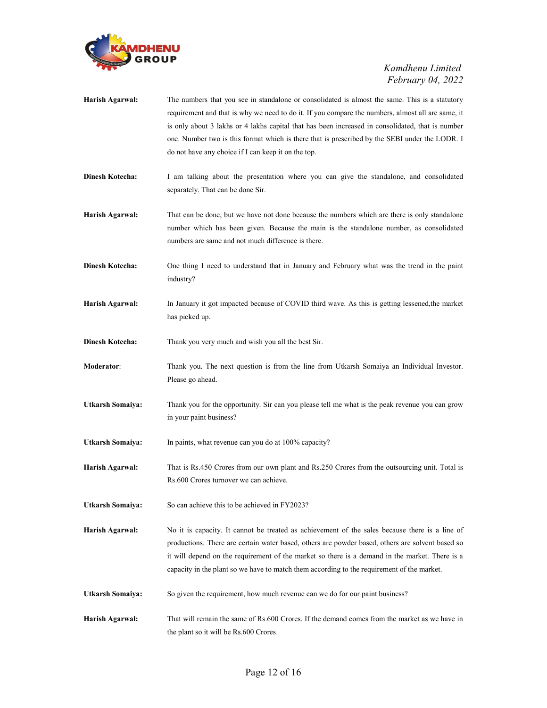

# February 04, 2022

| Harish Agarwal:         | The numbers that you see in standalone or consolidated is almost the same. This is a statutory<br>requirement and that is why we need to do it. If you compare the numbers, almost all are same, it<br>is only about 3 lakhs or 4 lakhs capital that has been increased in consolidated, that is number<br>one. Number two is this format which is there that is prescribed by the SEBI under the LODR. I<br>do not have any choice if I can keep it on the top. |
|-------------------------|------------------------------------------------------------------------------------------------------------------------------------------------------------------------------------------------------------------------------------------------------------------------------------------------------------------------------------------------------------------------------------------------------------------------------------------------------------------|
| <b>Dinesh Kotecha:</b>  | I am talking about the presentation where you can give the standalone, and consolidated<br>separately. That can be done Sir.                                                                                                                                                                                                                                                                                                                                     |
| Harish Agarwal:         | That can be done, but we have not done because the numbers which are there is only standalone<br>number which has been given. Because the main is the standalone number, as consolidated<br>numbers are same and not much difference is there.                                                                                                                                                                                                                   |
| <b>Dinesh Kotecha:</b>  | One thing I need to understand that in January and February what was the trend in the paint<br>industry?                                                                                                                                                                                                                                                                                                                                                         |
| Harish Agarwal:         | In January it got impacted because of COVID third wave. As this is getting lessened, the market<br>has picked up.                                                                                                                                                                                                                                                                                                                                                |
| <b>Dinesh Kotecha:</b>  | Thank you very much and wish you all the best Sir.                                                                                                                                                                                                                                                                                                                                                                                                               |
| Moderator:              | Thank you. The next question is from the line from Utkarsh Somaiya an Individual Investor.<br>Please go ahead.                                                                                                                                                                                                                                                                                                                                                   |
| <b>Utkarsh Somaiya:</b> | Thank you for the opportunity. Sir can you please tell me what is the peak revenue you can grow<br>in your paint business?                                                                                                                                                                                                                                                                                                                                       |
| <b>Utkarsh Somaiya:</b> | In paints, what revenue can you do at 100% capacity?                                                                                                                                                                                                                                                                                                                                                                                                             |
| Harish Agarwal:         | That is Rs.450 Crores from our own plant and Rs.250 Crores from the outsourcing unit. Total is<br>Rs.600 Crores turnover we can achieve.                                                                                                                                                                                                                                                                                                                         |
| <b>Utkarsh Somaiya:</b> | So can achieve this to be achieved in FY2023?                                                                                                                                                                                                                                                                                                                                                                                                                    |
| Harish Agarwal:         | No it is capacity. It cannot be treated as achievement of the sales because there is a line of<br>productions. There are certain water based, others are powder based, others are solvent based so<br>it will depend on the requirement of the market so there is a demand in the market. There is a<br>capacity in the plant so we have to match them according to the requirement of the market.                                                               |
| <b>Utkarsh Somaiya:</b> | So given the requirement, how much revenue can we do for our paint business?                                                                                                                                                                                                                                                                                                                                                                                     |
| Harish Agarwal:         | That will remain the same of Rs.600 Crores. If the demand comes from the market as we have in<br>the plant so it will be Rs.600 Crores.                                                                                                                                                                                                                                                                                                                          |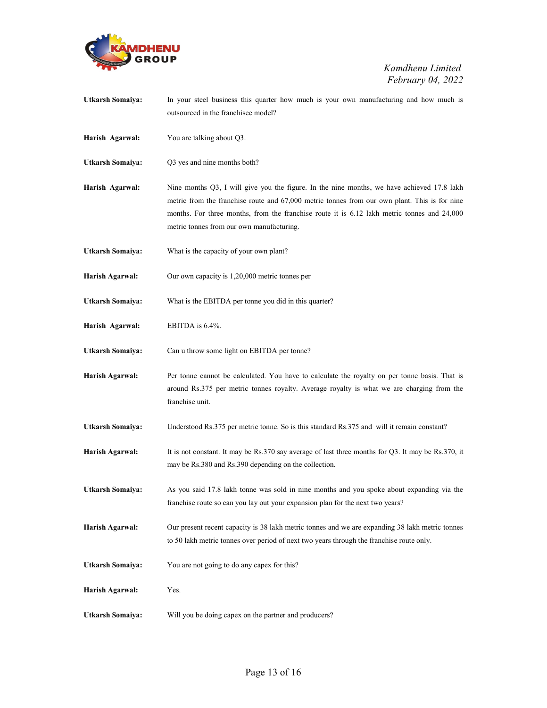

- Utkarsh Somaiya: In your steel business this quarter how much is your own manufacturing and how much is outsourced in the franchisee model?
- Harish Agarwal: You are talking about Q3.
- Utkarsh Somaiya: Q3 yes and nine months both?
- Harish Agarwal: Nine months Q3, I will give you the figure. In the nine months, we have achieved 17.8 lakh metric from the franchise route and 67,000 metric tonnes from our own plant. This is for nine months. For three months, from the franchise route it is 6.12 lakh metric tonnes and 24,000 metric tonnes from our own manufacturing.
- Utkarsh Somaiya: What is the capacity of your own plant?
- Harish Agarwal: Our own capacity is 1,20,000 metric tonnes per
- Utkarsh Somaiya: What is the EBITDA per tonne you did in this quarter?
- Harish Agarwal: EBITDA is 6.4%.
- Utkarsh Somaiya: Can u throw some light on EBITDA per tonne?
- Harish Agarwal: Per tonne cannot be calculated. You have to calculate the royalty on per tonne basis. That is around Rs.375 per metric tonnes royalty. Average royalty is what we are charging from the franchise unit.
- Utkarsh Somaiya: Understood Rs.375 per metric tonne. So is this standard Rs.375 and will it remain constant?
- Harish Agarwal: It is not constant. It may be Rs.370 say average of last three months for Q3. It may be Rs.370, it may be Rs.380 and Rs.390 depending on the collection.
- Utkarsh Somaiya: As you said 17.8 lakh tonne was sold in nine months and you spoke about expanding via the franchise route so can you lay out your expansion plan for the next two years?
- Harish Agarwal: Our present recent capacity is 38 lakh metric tonnes and we are expanding 38 lakh metric tonnes to 50 lakh metric tonnes over period of next two years through the franchise route only.
- Utkarsh Somaiya: You are not going to do any capex for this?
- Harish Agarwal: Yes.
- Utkarsh Somaiya: Will you be doing capex on the partner and producers?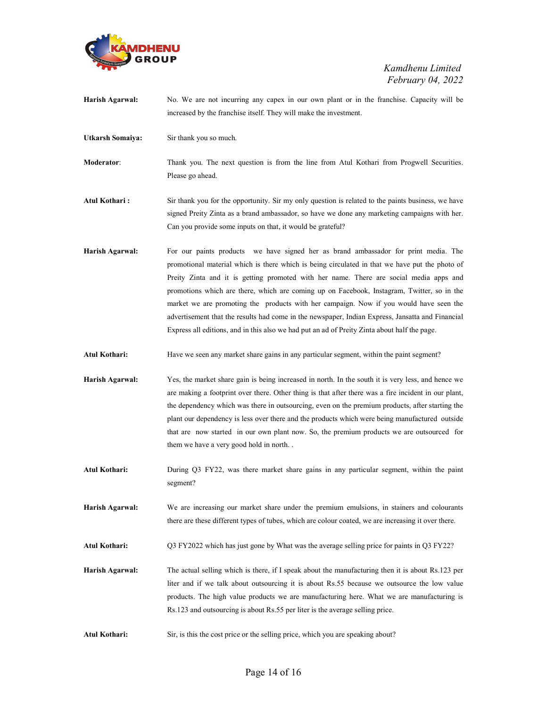

Harish Agarwal: No. We are not incurring any capex in our own plant or in the franchise. Capacity will be increased by the franchise itself. They will make the investment.

Utkarsh Somaiya: Sir thank you so much.

Moderator: Thank you. The next question is from the line from Atul Kothari from Progwell Securities. Please go ahead.

- Atul Kothari : Sir thank you for the opportunity. Sir my only question is related to the paints business, we have signed Preity Zinta as a brand ambassador, so have we done any marketing campaigns with her. Can you provide some inputs on that, it would be grateful?
- Harish Agarwal: For our paints products we have signed her as brand ambassador for print media. The promotional material which is there which is being circulated in that we have put the photo of Preity Zinta and it is getting promoted with her name. There are social media apps and promotions which are there, which are coming up on Facebook, Instagram, Twitter, so in the market we are promoting the products with her campaign. Now if you would have seen the advertisement that the results had come in the newspaper, Indian Express, Jansatta and Financial Express all editions, and in this also we had put an ad of Preity Zinta about half the page.
- Atul Kothari: Have we seen any market share gains in any particular segment, within the paint segment?
- Harish Agarwal: Yes, the market share gain is being increased in north. In the south it is very less, and hence we are making a footprint over there. Other thing is that after there was a fire incident in our plant, the dependency which was there in outsourcing, even on the premium products, after starting the plant our dependency is less over there and the products which were being manufactured outside that are now started in our own plant now. So, the premium products we are outsourced for them we have a very good hold in north. .
- Atul Kothari: During Q3 FY22, was there market share gains in any particular segment, within the paint segment?
- Harish Agarwal: We are increasing our market share under the premium emulsions, in stainers and colourants there are these different types of tubes, which are colour coated, we are increasing it over there.
- Atul Kothari: Q3 FY2022 which has just gone by What was the average selling price for paints in Q3 FY22?
- Harish Agarwal: The actual selling which is there, if I speak about the manufacturing then it is about Rs.123 per liter and if we talk about outsourcing it is about Rs.55 because we outsource the low value products. The high value products we are manufacturing here. What we are manufacturing is Rs.123 and outsourcing is about Rs.55 per liter is the average selling price.
- Atul Kothari: Sir, is this the cost price or the selling price, which you are speaking about?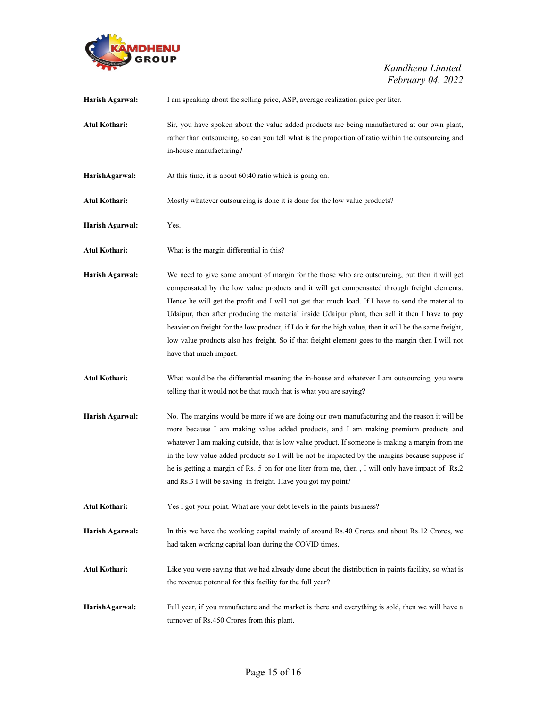

February 04, 2022

| Harish Agarwal: | I am speaking about the selling price, ASP, average realization price per liter.                                                                                                                                                                                                                                                                                                                                                                                                                                                                                                                                                                  |
|-----------------|---------------------------------------------------------------------------------------------------------------------------------------------------------------------------------------------------------------------------------------------------------------------------------------------------------------------------------------------------------------------------------------------------------------------------------------------------------------------------------------------------------------------------------------------------------------------------------------------------------------------------------------------------|
| Atul Kothari:   | Sir, you have spoken about the value added products are being manufactured at our own plant,<br>rather than outsourcing, so can you tell what is the proportion of ratio within the outsourcing and<br>in-house manufacturing?                                                                                                                                                                                                                                                                                                                                                                                                                    |
| HarishAgarwal:  | At this time, it is about 60:40 ratio which is going on.                                                                                                                                                                                                                                                                                                                                                                                                                                                                                                                                                                                          |
| Atul Kothari:   | Mostly whatever outsourcing is done it is done for the low value products?                                                                                                                                                                                                                                                                                                                                                                                                                                                                                                                                                                        |
| Harish Agarwal: | Yes.                                                                                                                                                                                                                                                                                                                                                                                                                                                                                                                                                                                                                                              |
| Atul Kothari:   | What is the margin differential in this?                                                                                                                                                                                                                                                                                                                                                                                                                                                                                                                                                                                                          |
| Harish Agarwal: | We need to give some amount of margin for the those who are outsourcing, but then it will get<br>compensated by the low value products and it will get compensated through freight elements.<br>Hence he will get the profit and I will not get that much load. If I have to send the material to<br>Udaipur, then after producing the material inside Udaipur plant, then sell it then I have to pay<br>heavier on freight for the low product, if I do it for the high value, then it will be the same freight,<br>low value products also has freight. So if that freight element goes to the margin then I will not<br>have that much impact. |
| Atul Kothari:   | What would be the differential meaning the in-house and whatever I am outsourcing, you were<br>telling that it would not be that much that is what you are saying?                                                                                                                                                                                                                                                                                                                                                                                                                                                                                |
| Harish Agarwal: | No. The margins would be more if we are doing our own manufacturing and the reason it will be<br>more because I am making value added products, and I am making premium products and<br>whatever I am making outside, that is low value product. If someone is making a margin from me<br>in the low value added products so I will be not be impacted by the margins because suppose if<br>he is getting a margin of Rs. 5 on for one liter from me, then, I will only have impact of Rs.2<br>and Rs.3 I will be saving in freight. Have you got my point?                                                                                       |
| Atul Kothari:   | Yes I got your point. What are your debt levels in the paints business?                                                                                                                                                                                                                                                                                                                                                                                                                                                                                                                                                                           |
| Harish Agarwal: | In this we have the working capital mainly of around Rs.40 Crores and about Rs.12 Crores, we<br>had taken working capital loan during the COVID times.                                                                                                                                                                                                                                                                                                                                                                                                                                                                                            |
| Atul Kothari:   | Like you were saying that we had already done about the distribution in paints facility, so what is<br>the revenue potential for this facility for the full year?                                                                                                                                                                                                                                                                                                                                                                                                                                                                                 |
| HarishAgarwal:  | Full year, if you manufacture and the market is there and everything is sold, then we will have a<br>turnover of Rs.450 Crores from this plant.                                                                                                                                                                                                                                                                                                                                                                                                                                                                                                   |